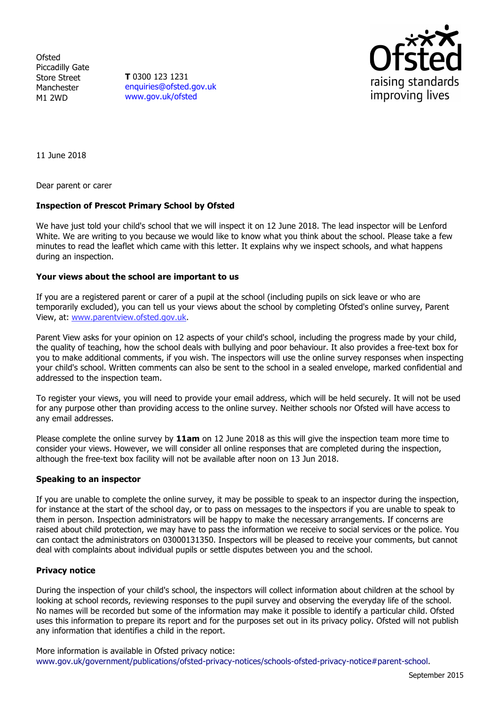Ofsted Piccadilly Gate Store Street Manchester M1 2WD

**T** 0300 123 1231 enquiries@ofsted.gov.uk www.gov.uk/ofsted



11 June 2018

Dear parent or carer

## **Inspection of Prescot Primary School by Ofsted**

We have just told your child's school that we will inspect it on 12 June 2018. The lead inspector will be Lenford White. We are writing to you because we would like to know what you think about the school. Please take a few minutes to read the leaflet which came with this letter. It explains why we inspect schools, and what happens during an inspection.

### **Your views about the school are important to us**

If you are a registered parent or carer of a pupil at the school (including pupils on sick leave or who are temporarily excluded), you can tell us your views about the school by completing Ofsted's online survey, Parent View, at: www.parentview.ofsted.gov.uk.

Parent View asks for your opinion on 12 aspects of your child's school, including the progress made by your child, the quality of teaching, how the school deals with bullying and poor behaviour. It also provides a free-text box for you to make additional comments, if you wish. The inspectors will use the online survey responses when inspecting your child's school. Written comments can also be sent to the school in a sealed envelope, marked confidential and addressed to the inspection team.

To register your views, you will need to provide your email address, which will be held securely. It will not be used for any purpose other than providing access to the online survey. Neither schools nor Ofsted will have access to any email addresses.

Please complete the online survey by **11am** on 12 June 2018 as this will give the inspection team more time to consider your views. However, we will consider all online responses that are completed during the inspection, although the free-text box facility will not be available after noon on 13 Jun 2018.

### **Speaking to an inspector**

If you are unable to complete the online survey, it may be possible to speak to an inspector during the inspection, for instance at the start of the school day, or to pass on messages to the inspectors if you are unable to speak to them in person. Inspection administrators will be happy to make the necessary arrangements. If concerns are raised about child protection, we may have to pass the information we receive to social services or the police. You can contact the administrators on 03000131350. Inspectors will be pleased to receive your comments, but cannot deal with complaints about individual pupils or settle disputes between you and the school.

### **Privacy notice**

During the inspection of your child's school, the inspectors will collect information about children at the school by looking at school records, reviewing responses to the pupil survey and observing the everyday life of the school. No names will be recorded but some of the information may make it possible to identify a particular child. Ofsted uses this information to prepare its report and for the purposes set out in its privacy policy. Ofsted will not publish any information that identifies a child in the report.

More information is available in Ofsted privacy notice: www.gov.uk/government/publications/ofsted-privacy-notices/schools-ofsted-privacy-notice#parent-school.